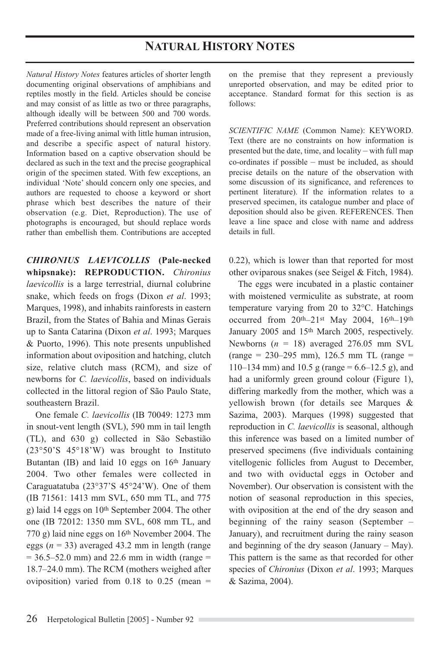## **NATURAL HISTORY NOTES**

*Natural History Notes* features articles of shorter length documenting original observations of amphibians and reptiles mostly in the field. Articles should be concise and may consist of as little as two or three paragraphs, although ideally will be between 500 and 700 words. Preferred contributions should represent an observation made of a free-living animal with little human intrusion, and describe a specific aspect of natural history. Information based on a captive observation should be declared as such in the text and the precise geographical origin of the specimen stated. With few exceptions, an individual 'Note' should concern only one species, and authors are requested to choose a keyword or short phrase which best describes the nature of their observation (e.g. Diet, Reproduction). The use of photographs is encouraged, but should replace words rather than embellish them. Contributions are accepted

*CHIRONIUS LAEVICOLLIS* **(Pale-necked whipsnake): REPRODUCTION.** *Chironius laevicollis* is a large terrestrial, diurnal colubrine snake, which feeds on frogs (Dixon *et al*. 1993; Marques, 1998), and inhabits rainforests in eastern Brazil, from the States of Bahia and Minas Gerais up to Santa Catarina (Dixon *et al*. 1993; Marques & Puorto, 1996). This note presents unpublished information about oviposition and hatching, clutch size, relative clutch mass (RCM), and size of newborns for *C. laevicollis*, based on individuals collected in the littoral region of São Paulo State, southeastern Brazil.

One female *C. laevicollis* (IB 70049: 1273 mm in snout-vent length (SVL), 590 mm in tail length (TL), and 630 g) collected in São Sebastião (23°50'S 45°18'W) was brought to Instituto Butantan (IB) and laid 10 eggs on 16th January 2004. Two other females were collected in Caraguatatuba (23°37'S 45°24'W). One of them (IB 71561: 1413 mm SVL, 650 mm TL, and 775 g) laid 14 eggs on 10<sup>th</sup> September 2004. The other one (IB 72012: 1350 mm SVL, 608 mm TL, and 770 g) laid nine eggs on 16th November 2004. The eggs  $(n = 33)$  averaged 43.2 mm in length (range  $= 36.5 - 52.0$  mm) and 22.6 mm in width (range  $=$ 18.7–24.0 mm). The RCM (mothers weighed after oviposition) varied from  $0.18$  to  $0.25$  (mean =

on the premise that they represent a previously unreported observation, and may be edited prior to acceptance. Standard format for this section is as follows:

*SCIENTIFIC NAME* (Common Name): KEYWORD. Text (there are no constraints on how information is presented but the date, time, and locality – with full map co-ordinates if possible – must be included, as should precise details on the nature of the observation with some discussion of its significance, and references to pertinent literature). If the information relates to a preserved specimen, its catalogue number and place of deposition should also be given. REFERENCES. Then leave a line space and close with name and address details in full.

0.22), which is lower than that reported for most other oviparous snakes (see Seigel & Fitch, 1984).

The eggs were incubated in a plastic container with moistened vermiculite as substrate, at room temperature varying from 20 to 32°C. Hatchings occurred from 20th–21st May 2004, 16th–19th January 2005 and 15th March 2005, respectively. Newborns  $(n = 18)$  averaged 276.05 mm SVL  $(range = 230-295 mm)$ , 126.5 mm TL (range = 110–134 mm) and 10.5 g (range =  $6.6$ –12.5 g), and had a uniformly green ground colour (Figure 1), differing markedly from the mother, which was a yellowish brown (for details see Marques & Sazima, 2003). Marques (1998) suggested that reproduction in *C. laevicollis* is seasonal, although this inference was based on a limited number of preserved specimens (five individuals containing vitellogenic follicles from August to December, and two with oviductal eggs in October and November). Our observation is consistent with the notion of seasonal reproduction in this species, with oviposition at the end of the dry season and beginning of the rainy season (September – January), and recruitment during the rainy season and beginning of the dry season (January – May). This pattern is the same as that recorded for other species of *Chironius* (Dixon *et al*. 1993; Marques & Sazima, 2004).